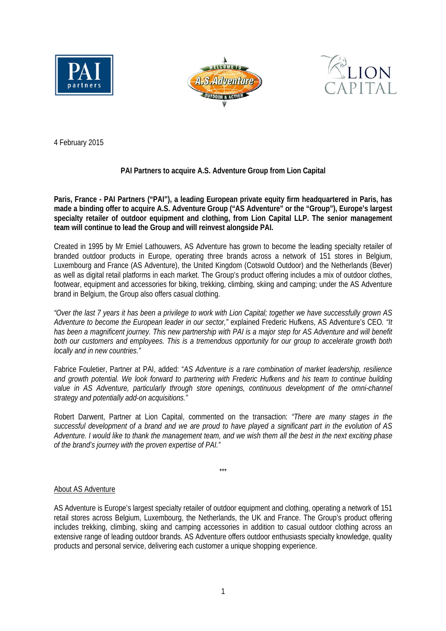





4 February 2015

# **PAI Partners to acquire A.S. Adventure Group from Lion Capital**

**Paris, France - PAI Partners ("PAI"), a leading European private equity firm headquartered in Paris, has made a binding offer to acquire A.S. Adventure Group ("AS Adventure" or the "Group"), Europe's largest specialty retailer of outdoor equipment and clothing, from Lion Capital LLP. The senior management team will continue to lead the Group and will reinvest alongside PAI.** 

Created in 1995 by Mr Emiel Lathouwers, AS Adventure has grown to become the leading specialty retailer of branded outdoor products in Europe, operating three brands across a network of 151 stores in Belgium, Luxembourg and France (AS Adventure), the United Kingdom (Cotswold Outdoor) and the Netherlands (Bever) as well as digital retail platforms in each market. The Group's product offering includes a mix of outdoor clothes, footwear, equipment and accessories for biking, trekking, climbing, skiing and camping; under the AS Adventure brand in Belgium, the Group also offers casual clothing.

*"Over the last 7 years it has been a privilege to work with Lion Capital; together we have successfully grown AS Adventure to become the European leader in our sector,"* explained Frederic Hufkens, AS Adventure's CEO*. "It has been a magnificent journey. This new partnership with PAI is a major step for AS Adventure and will benefit both our customers and employees. This is a tremendous opportunity for our group to accelerate growth both locally and in new countries."*

Fabrice Fouletier, Partner at PAI, added: "*AS Adventure is a rare combination of market leadership, resilience and growth potential. We look forward to partnering with Frederic Hufkens and his team to continue building*  value in AS Adventure, particularly through store openings, continuous development of the omni-channel *strategy and potentially add-on acquisitions."*

Robert Darwent, Partner at Lion Capital, commented on the transaction: *"There are many stages in the successful development of a brand and we are proud to have played a significant part in the evolution of AS Adventure. I would like to thank the management team, and we wish them all the best in the next exciting phase of the brand's journey with the proven expertise of PAI."* 

\*\*\*

# About AS Adventure

AS Adventure is Europe's largest specialty retailer of outdoor equipment and clothing, operating a network of 151 retail stores across Belgium, Luxembourg, the Netherlands, the UK and France. The Group's product offering includes trekking, climbing, skiing and camping accessories in addition to casual outdoor clothing across an extensive range of leading outdoor brands. AS Adventure offers outdoor enthusiasts specialty knowledge, quality products and personal service, delivering each customer a unique shopping experience.